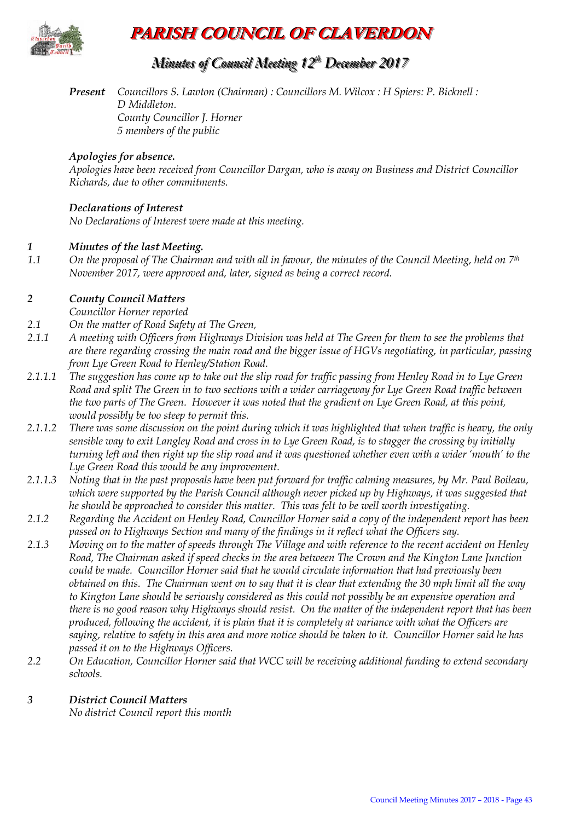

# **PARISH COUNCIL OF CLAVERDON**

# *Minutes of Council Meeting 12 t thh December 2017*

*Present Councillors S. Lawton (Chairman) : Councillors M. Wilcox : H Spiers: P. Bicknell : D Middleton. County Councillor J. Horner 5 members of the public*

#### *Apologies for absence.*

*Apologies have been received from Councillor Dargan, who is away on Business and District Councillor Richards, due to other commitments.*

# *Declarations of Interest*

*No Declarations of Interest were made at this meeting.*

#### *1 Minutes of the last Meeting.*

*1.1 On the proposal of The Chairman and with all in favour, the minutes of the Council Meeting, held on 7th November 2017, were approved and, later, signed as being a correct record.*

#### *2 County Council Matters*

*Councillor Horner reported*

- *2.1 On the matter of Road Safety at The Green,*
- *2.1.1 A meeting with Officers from Highways Division was held at The Green for them to see the problems that are there regarding crossing the main road and the bigger issue of HGVs negotiating, in particular, passing from Lye Green Road to Henley/Station Road.*
- *2.1.1.1 The suggestion has come up to take out the slip road for traffic passing from Henley Road in to Lye Green Road and split The Green in to two sections with a wider carriageway for Lye Green Road traffic between the two parts of The Green. However it was noted that the gradient on Lye Green Road, at this point, would possibly be too steep to permit this.*
- *2.1.1.2 There was some discussion on the point during which it was highlighted that when traffic is heavy, the only sensible way to exit Langley Road and cross in to Lye Green Road, is to stagger the crossing by initially turning left and then right up the slip road and it was questioned whether even with a wider 'mouth' to the Lye Green Road this would be any improvement.*
- *2.1.1.3 Noting that in the past proposals have been put forward for traffic calming measures, by Mr. Paul Boileau, which were supported by the Parish Council although never picked up by Highways, it was suggested that he should be approached to consider this matter. This was felt to be well worth investigating.*
- *2.1.2 Regarding the Accident on Henley Road, Councillor Horner said a copy of the independent report has been passed on to Highways Section and many of the findings in it reflect what the Officers say.*
- *2.1.3 Moving on to the matter of speeds through The Village and with reference to the recent accident on Henley Road, The Chairman asked if speed checks in the area between The Crown and the Kington Lane Junction could be made. Councillor Horner said that he would circulate information that had previously been obtained on this. The Chairman went on to say that it is clear that extending the 30 mph limit all the way to Kington Lane should be seriously considered as this could not possibly be an expensive operation and there is no good reason why Highways should resist. On the matter of the independent report that has been produced, following the accident, it is plain that it is completely at variance with what the Officers are saying, relative to safety in this area and more notice should be taken to it. Councillor Horner said he has passed it on to the Highways Officers.*
- *2.2 On Education, Councillor Horner said that WCC will be receiving additional funding to extend secondary schools.*

#### *3 District Council Matters*

*No district Council report this month*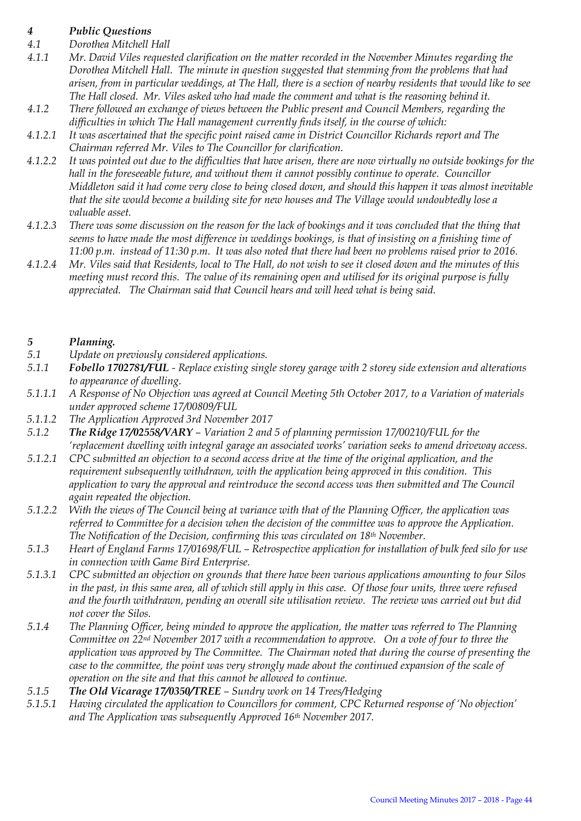# *4 Public Questions*

- *4.1 Dorothea Mitchell Hall*
- *4.1.1 Mr. David Viles requested clarification on the matter recorded in the November Minutes regarding the Dorothea Mitchell Hall. The minute in question suggested that stemming from the problems that had arisen, from in particular weddings, at The Hall, there is a section of nearby residents that would like to see The Hall closed. Mr. Viles asked who had made the comment and what is the reasoning behind it.*
- *4.1.2 There followed an exchange of views between the Public present and Council Members, regarding the difficulties in which The Hall management currently finds itself, in the course of which:*
- *4.1.2.1 It was ascertained that the specific point raised came in District Councillor Richards report and The Chairman referred Mr. Viles to The Councillor for clarification.*
- *4.1.2.2 It was pointed out due to the difficulties that have arisen, there are now virtually no outside bookings for the hall in the foreseeable future, and without them it cannot possibly continue to operate. Councillor Middleton said it had come very close to being closed down, and should this happen it was almost inevitable that the site would become a building site for new houses and The Village would undoubtedly lose a valuable asset.*
- *4.1.2.3 There was some discussion on the reason for the lack of bookings and it was concluded that the thing that seems to have made the most difference in weddings bookings, is that of insisting on a finishing time of 11:00 p.m. instead of 11:30 p.m. It was also noted that there had been no problems raised prior to 2016.*
- *4.1.2.4 Mr. Viles said that Residents, local to The Hall, do not wish to see it closed down and the minutes of this meeting must record this. The value of its remaining open and utilised for its original purpose is fully appreciated. The Chairman said that Council hears and will heed what is being said.*

#### *5 Planning.*

- *5.1 Update on previously considered applications.*
- *5.1.1 Fobello 1702781/FUL - Replace existing single storey garage with 2 storey side extension and alterations to appearance of dwelling.*
- *5.1.1.1 A Response of No Objection was agreed at Council Meeting 5th October 2017, to a Variation of materials under approved scheme 17/00809/FUL*
- *5.1.1.2 The Application Approved 3rd November 2017*
- *5.1.2 The Ridge 17/02558/VARY – Variation 2 and 5 of planning permission 17/00210/FUL for the 'replacement dwelling with integral garage an associated works' variation seeks to amend driveway access.*
- *5.1.2.1 CPC submitted an objection to a second access drive at the time of the original application, and the requirement subsequently withdrawn, with the application being approved in this condition. This application to vary the approval and reintroduce the second access was then submitted and The Council again repeated the objection.*
- *5.1.2.2 With the views of The Council being at variance with that of the Planning Officer, the application was referred to Committee for a decision when the decision of the committee was to approve the Application. The Notification of the Decision, confirming this was circulated on 18th November.*
- *5.1.3 Heart of England Farms 17/01698/FUL – Retrospective application for installation of bulk feed silo for use in connection with Game Bird Enterprise.*
- *5.1.3.1 CPC submitted an objection on grounds that there have been various applications amounting to four Silos in the past, in this same area, all of which still apply in this case. Of those four units, three were refused and the fourth withdrawn, pending an overall site utilisation review. The review was carried out but did not cover the Silos.*
- *5.1.4 The Planning Officer, being minded to approve the application, the matter was referred to The Planning Committee on 22nd November 2017 with a recommendation to approve. On a vote of four to three the application was approved by The Committee. The Chairman noted that during the course of presenting the case to the committee, the point was very strongly made about the continued expansion of the scale of operation on the site and that this cannot be allowed to continue.*
- *5.1.5 The Old Vicarage 17/0350/TREE – Sundry work on 14 Trees/Hedging*
- *5.1.5.1 Having circulated the application to Councillors for comment, CPC Returned response of 'No objection' and The Application was subsequently Approved 16th November 2017.*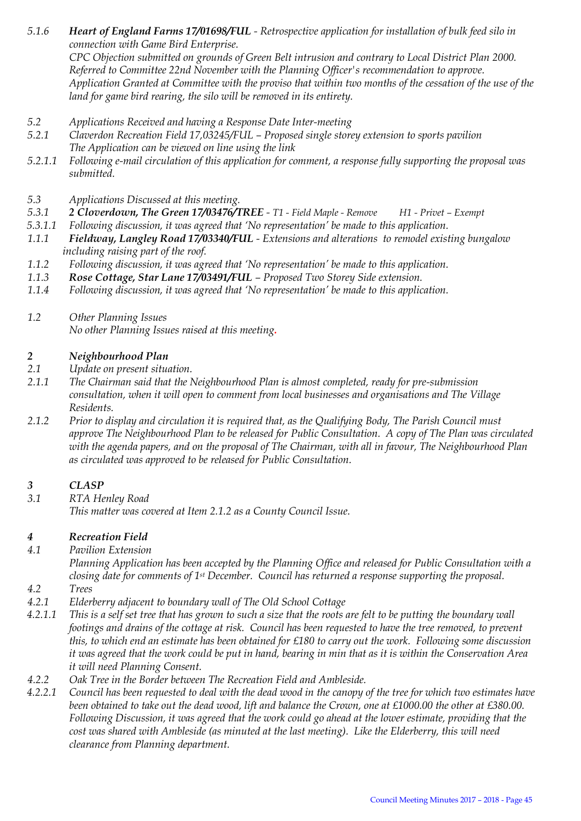*5.1.6 Heart of England Farms 17/01698/FUL - Retrospective application for installation of bulk feed silo in connection with Game Bird Enterprise. CPC Objection submitted on grounds of Green Belt intrusion and contrary to Local District Plan 2000.*

*Referred to Committee 22nd November with the Planning Officer's recommendation to approve. Application Granted at Committee with the proviso that within two months of the cessation of the use of the land for game bird rearing, the silo will be removed in its entirety.* 

- *5.2 Applications Received and having a Response Date Inter-meeting*
- *5.2.1 Claverdon Recreation Field 17,03245/FUL – Proposed single storey extension to sports pavilion The Application can be viewed on line using the link*
- *5.2.1.1 Following e-mail circulation of this application for comment, a response fully supporting the proposal was submitted.*
- *5.3 Applications Discussed at this meeting.*
- *5.3.1 2 Cloverdown, The Green 17/03476/TREE - T1 - Field Maple - Remove H1 - Privet – Exempt*
- *5.3.1.1 Following discussion, it was agreed that 'No representation' be made to this application.*
- *1.1.1 Fieldway, Langley Road 17/03340/FUL - Extensions and alterations to remodel existing bungalow including raising part of the roof.*
- *1.1.2 Following discussion, it was agreed that 'No representation' be made to this application.*
- *1.1.3 Rose Cottage, Star Lane 17/03491/FUL – Proposed Two Storey Side extension.*
- *1.1.4 Following discussion, it was agreed that 'No representation' be made to this application.*
- *1.2 Other Planning Issues No other Planning Issues raised at this meeting.*

#### *2 Neighbourhood Plan*

- *2.1 Update on present situation.*
- *2.1.1 The Chairman said that the Neighbourhood Plan is almost completed, ready for pre-submission consultation, when it will open to comment from local businesses and organisations and The Village Residents.*
- *2.1.2 Prior to display and circulation it is required that, as the Qualifying Body, The Parish Council must approve The Neighbourhood Plan to be released for Public Consultation. A copy of The Plan was circulated with the agenda papers, and on the proposal of The Chairman, with all in favour, The Neighbourhood Plan as circulated was approved to be released for Public Consultation.*

# *3 CLASP*

*3.1 RTA Henley Road This matter was covered at Item 2.1.2 as a County Council Issue.* 

# *4 Recreation Field*

*4.1 Pavilion Extension*

*Planning Application has been accepted by the Planning Office and released for Public Consultation with a closing date for comments of 1st December. Council has returned a response supporting the proposal.*

- *4.2 Trees*
- *4.2.1 Elderberry adjacent to boundary wall of The Old School Cottage*
- *4.2.1.1 This is a self set tree that has grown to such a size that the roots are felt to be putting the boundary wall footings and drains of the cottage at risk. Council has been requested to have the tree removed, to prevent this, to which end an estimate has been obtained for £180 to carry out the work. Following some discussion it was agreed that the work could be put in hand, bearing in min that as it is within the Conservation Area it will need Planning Consent.*
- *4.2.2 Oak Tree in the Border between The Recreation Field and Ambleside.*
- *4.2.2.1 Council has been requested to deal with the dead wood in the canopy of the tree for which two estimates have been obtained to take out the dead wood, lift and balance the Crown, one at £1000.00 the other at £380.00. Following Discussion, it was agreed that the work could go ahead at the lower estimate, providing that the cost was shared with Ambleside (as minuted at the last meeting). Like the Elderberry, this will need clearance from Planning department.*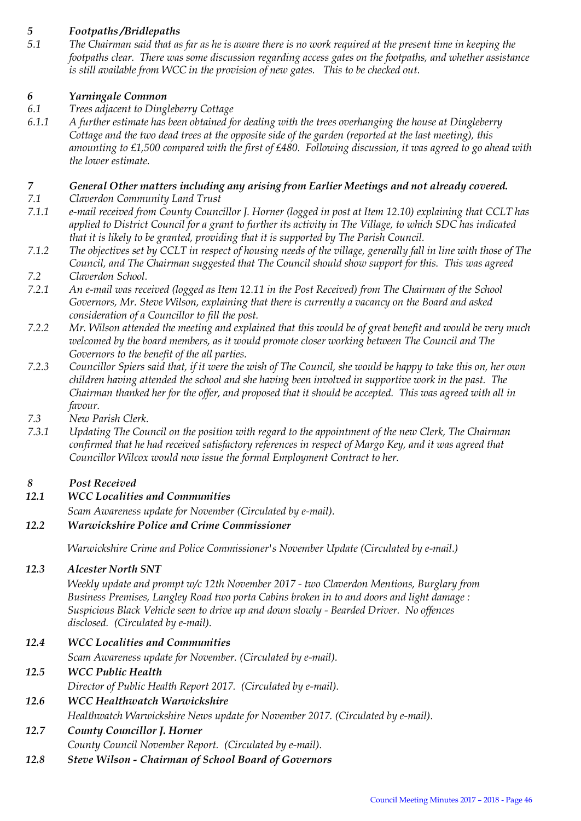# *5 Footpaths /Bridlepaths*

*5.1 The Chairman said that as far as he is aware there is no work required at the present time in keeping the footpaths clear. There was some discussion regarding access gates on the footpaths, and whether assistance is still available from WCC in the provision of new gates. This to be checked out.*

# *6 Yarningale Common*

- *6.1 Trees adjacent to Dingleberry Cottage*
- *6.1.1 A further estimate has been obtained for dealing with the trees overhanging the house at Dingleberry Cottage and the two dead trees at the opposite side of the garden (reported at the last meeting), this amounting to £1,500 compared with the first of £480. Following discussion, it was agreed to go ahead with the lower estimate.*

# *7 General Other matters including any arising from Earlier Meetings and not already covered.*

- *7.1 Claverdon Community Land Trust*
- *7.1.1 e-mail received from County Councillor J. Horner (logged in post at Item 12.10) explaining that CCLT has applied to District Council for a grant to further its activity in The Village, to which SDC has indicated that it is likely to be granted, providing that it is supported by The Parish Council.*
- *7.1.2 The objectives set by CCLT in respect of housing needs of the village, generally fall in line with those of The Council, and The Chairman suggested that The Council should show support for this. This was agreed 7.2 Claverdon School.*
- *7.2.1 An e-mail was received (logged as Item 12.11 in the Post Received) from The Chairman of the School Governors, Mr. Steve Wilson, explaining that there is currently a vacancy on the Board and asked consideration of a Councillor to fill the post.*
- *7.2.2 Mr. Wilson attended the meeting and explained that this would be of great benefit and would be very much welcomed by the board members, as it would promote closer working between The Council and The Governors to the benefit of the all parties.*
- *7.2.3 Councillor Spiers said that, if it were the wish of The Council, she would be happy to take this on, her own children having attended the school and she having been involved in supportive work in the past. The Chairman thanked her for the offer, and proposed that it should be accepted. This was agreed with all in favour.*
- *7.3 New Parish Clerk.*
- *7.3.1 Updating The Council on the position with regard to the appointment of the new Clerk, The Chairman confirmed that he had received satisfactory references in respect of Margo Key, and it was agreed that Councillor Wilcox would now issue the formal Employment Contract to her.*

# *8 Post Received*

*12.1 WCC Localities and Communities*

*Scam Awareness update for November (Circulated by e-mail).* 

# *12.2 Warwickshire Police and Crime Commissioner*

*Warwickshire Crime and Police Commissioner's November Update (Circulated by e-mail.)*

# *12.3 Alcester North SNT*

*Weekly update and prompt w/c 12th November 2017 - two Claverdon Mentions, Burglary from Business Premises, Langley Road two porta Cabins broken in to and doors and light damage : Suspicious Black Vehicle seen to drive up and down slowly - Bearded Driver. No offences disclosed. (Circulated by e-mail).* 

*12.4 WCC Localities and Communities* 

*Scam Awareness update for November. (Circulated by e-mail).* 

# *12.5 WCC Public Health*

*Director of Public Health Report 2017. (Circulated by e-mail).* 

# *12.6 WCC Healthwatch Warwickshire*

*Healthwatch Warwickshire News update for November 2017. (Circulated by e-mail).* 

# *12.7 County Councillor J. Horner*

*County Council November Report. (Circulated by e-mail).* 

*12.8 Steve Wilson - Chairman of School Board of Governors*